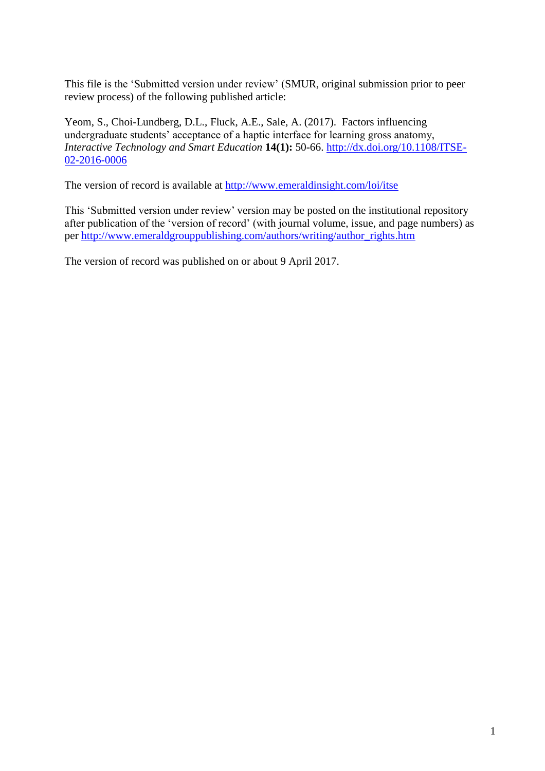This file is the 'Submitted version under review' (SMUR, original submission prior to peer review process) of the following published article:

Yeom, S., Choi-Lundberg, D.L., Fluck, A.E., Sale, A. (2017). Factors influencing undergraduate students' acceptance of a haptic interface for learning gross anatomy, *Interactive Technology and Smart Education* **14(1):** 50-66. [http://dx.doi.org/10.1108/ITSE-](http://dx.doi.org/10.1108/ITSE-02-2016-0006)[02-2016-0006](http://dx.doi.org/10.1108/ITSE-02-2016-0006)

The version of record is available at<http://www.emeraldinsight.com/loi/itse>

This 'Submitted version under review' version may be posted on the institutional repository after publication of the 'version of record' (with journal volume, issue, and page numbers) as per [http://www.emeraldgrouppublishing.com/authors/writing/author\\_rights.htm](http://www.emeraldgrouppublishing.com/authors/writing/author_rights.htm) 

The version of record was published on or about 9 April 2017.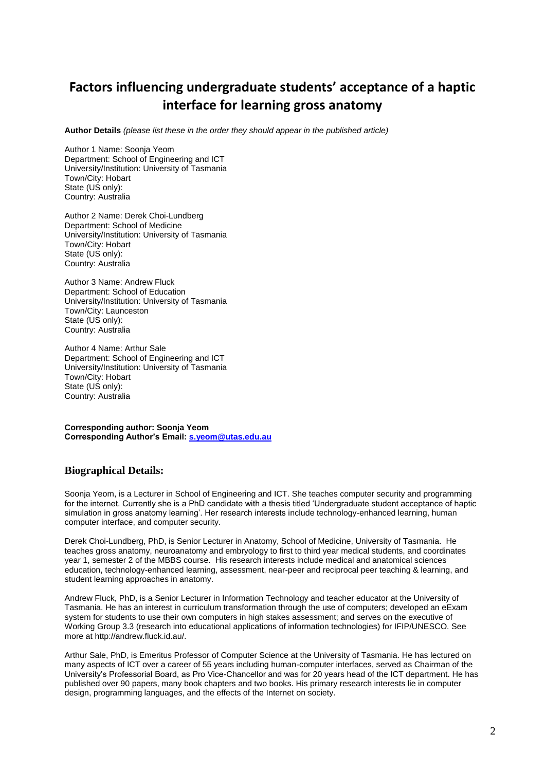# **Factors influencing undergraduate students' acceptance of a haptic interface for learning gross anatomy**

**Author Details** *(please list these in the order they should appear in the published article)*

Author 1 Name: Soonja Yeom Department: School of Engineering and ICT University/Institution: University of Tasmania Town/City: Hobart State (US only): Country: Australia

Author 2 Name: Derek Choi-Lundberg Department: School of Medicine University/Institution: University of Tasmania Town/City: Hobart State (US only): Country: Australia

Author 3 Name: Andrew Fluck Department: School of Education University/Institution: University of Tasmania Town/City: Launceston State (US only): Country: Australia

Author 4 Name: Arthur Sale Department: School of Engineering and ICT University/Institution: University of Tasmania Town/City: Hobart State (US only): Country: Australia

**Corresponding author: Soonja Yeom Corresponding Author's Email: [s.yeom@utas.edu.au](mailto:s.yeom@utas.edu.au)**

#### **Biographical Details:**

Soonja Yeom, is a Lecturer in School of Engineering and ICT. She teaches computer security and programming for the internet. Currently she is a PhD candidate with a thesis titled 'Undergraduate student acceptance of haptic simulation in gross anatomy learning'. Her research interests include technology-enhanced learning, human computer interface, and computer security.

Derek Choi-Lundberg, PhD, is Senior Lecturer in Anatomy, School of Medicine, University of Tasmania. He teaches gross anatomy, neuroanatomy and embryology to first to third year medical students, and coordinates year 1, semester 2 of the MBBS course. His research interests include medical and anatomical sciences education, technology-enhanced learning, assessment, near-peer and reciprocal peer teaching & learning, and student learning approaches in anatomy.

Andrew Fluck, PhD, is a Senior Lecturer in Information Technology and teacher educator at the University of Tasmania. He has an interest in curriculum transformation through the use of computers; developed an eExam system for students to use their own computers in high stakes assessment; and serves on the executive of Working Group 3.3 (research into educational applications of information technologies) for IFIP/UNESCO. See more at http://andrew.fluck.id.au/.

Arthur Sale, PhD, is Emeritus Professor of Computer Science at the University of Tasmania. He has lectured on many aspects of ICT over a career of 55 years including human-computer interfaces, served as Chairman of the University's Professorial Board, as Pro Vice-Chancellor and was for 20 years head of the ICT department. He has published over 90 papers, many book chapters and two books. His primary research interests lie in computer design, programming languages, and the effects of the Internet on society.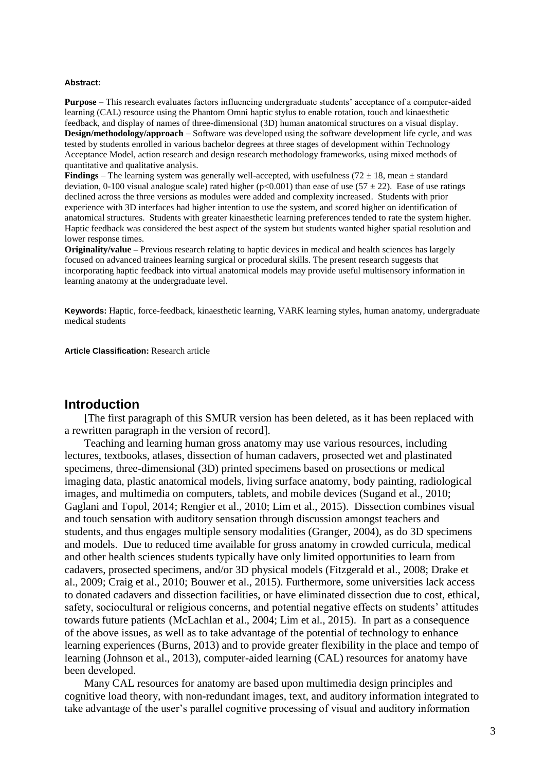#### **Abstract:**

**Purpose** – This research evaluates factors influencing undergraduate students' acceptance of a computer-aided learning (CAL) resource using the Phantom Omni haptic stylus to enable rotation, touch and kinaesthetic feedback, and display of names of three-dimensional (3D) human anatomical structures on a visual display. **Design/methodology/approach** – Software was developed using the software development life cycle, and was tested by students enrolled in various bachelor degrees at three stages of development within Technology Acceptance Model, action research and design research methodology frameworks, using mixed methods of quantitative and qualitative analysis.

**Findings** – The learning system was generally well-accepted, with usefulness  $(72 \pm 18)$ , mean  $\pm$  standard deviation, 0-100 visual analogue scale) rated higher (p<0.001) than ease of use (57  $\pm$  22). Ease of use ratings declined across the three versions as modules were added and complexity increased. Students with prior experience with 3D interfaces had higher intention to use the system, and scored higher on identification of anatomical structures. Students with greater kinaesthetic learning preferences tended to rate the system higher. Haptic feedback was considered the best aspect of the system but students wanted higher spatial resolution and lower response times.

**Originality/value –** Previous research relating to haptic devices in medical and health sciences has largely focused on advanced trainees learning surgical or procedural skills. The present research suggests that incorporating haptic feedback into virtual anatomical models may provide useful multisensory information in learning anatomy at the undergraduate level.

**Keywords:** Haptic, force-feedback, kinaesthetic learning, VARK learning styles, human anatomy, undergraduate medical students

**Article Classification:** Research article

#### **Introduction**

[The first paragraph of this SMUR version has been deleted, as it has been replaced with a rewritten paragraph in the version of record].

Teaching and learning human gross anatomy may use various resources, including lectures, textbooks, atlases, dissection of human cadavers, prosected wet and plastinated specimens, three-dimensional (3D) printed specimens based on prosections or medical imaging data, plastic anatomical models, living surface anatomy, body painting, radiological images, and multimedia on computers, tablets, and mobile devices (Sugand et al., 2010; Gaglani and Topol, 2014; Rengier et al., 2010; Lim et al., 2015). Dissection combines visual and touch sensation with auditory sensation through discussion amongst teachers and students, and thus engages multiple sensory modalities (Granger, 2004), as do 3D specimens and models. Due to reduced time available for gross anatomy in crowded curricula, medical and other health sciences students typically have only limited opportunities to learn from cadavers, prosected specimens, and/or 3D physical models (Fitzgerald et al., 2008; Drake et al., 2009; Craig et al., 2010; Bouwer et al., 2015). Furthermore, some universities lack access to donated cadavers and dissection facilities, or have eliminated dissection due to cost, ethical, safety, sociocultural or religious concerns, and potential negative effects on students' attitudes towards future patients (McLachlan et al., 2004; Lim et al., 2015). In part as a consequence of the above issues, as well as to take advantage of the potential of technology to enhance learning experiences (Burns, 2013) and to provide greater flexibility in the place and tempo of learning (Johnson et al., 2013), computer-aided learning (CAL) resources for anatomy have been developed.

Many CAL resources for anatomy are based upon multimedia design principles and cognitive load theory, with non-redundant images, text, and auditory information integrated to take advantage of the user's parallel cognitive processing of visual and auditory information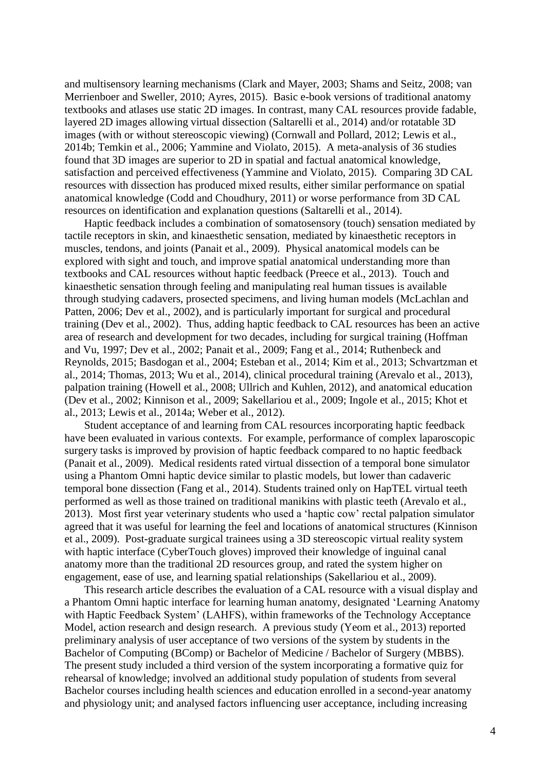and multisensory learning mechanisms (Clark and Mayer, 2003; Shams and Seitz, 2008; van Merrienboer and Sweller, 2010; Ayres, 2015). Basic e-book versions of traditional anatomy textbooks and atlases use static 2D images. In contrast, many CAL resources provide fadable, layered 2D images allowing virtual dissection (Saltarelli et al., 2014) and/or rotatable 3D images (with or without stereoscopic viewing) (Cornwall and Pollard, 2012; Lewis et al., 2014b; Temkin et al., 2006; Yammine and Violato, 2015). A meta-analysis of 36 studies found that 3D images are superior to 2D in spatial and factual anatomical knowledge, satisfaction and perceived effectiveness (Yammine and Violato, 2015). Comparing 3D CAL resources with dissection has produced mixed results, either similar performance on spatial anatomical knowledge (Codd and Choudhury, 2011) or worse performance from 3D CAL resources on identification and explanation questions (Saltarelli et al., 2014).

Haptic feedback includes a combination of somatosensory (touch) sensation mediated by tactile receptors in skin, and kinaesthetic sensation, mediated by kinaesthetic receptors in muscles, tendons, and joints (Panait et al., 2009). Physical anatomical models can be explored with sight and touch, and improve spatial anatomical understanding more than textbooks and CAL resources without haptic feedback (Preece et al., 2013). Touch and kinaesthetic sensation through feeling and manipulating real human tissues is available through studying cadavers, prosected specimens, and living human models (McLachlan and Patten, 2006; Dev et al., 2002), and is particularly important for surgical and procedural training (Dev et al., 2002). Thus, adding haptic feedback to CAL resources has been an active area of research and development for two decades, including for surgical training (Hoffman and Vu, 1997; Dev et al., 2002; Panait et al., 2009; Fang et al., 2014; Ruthenbeck and Reynolds, 2015; Basdogan et al., 2004; Esteban et al., 2014; Kim et al., 2013; Schvartzman et al., 2014; Thomas, 2013; Wu et al., 2014), clinical procedural training (Arevalo et al., 2013), palpation training (Howell et al., 2008; Ullrich and Kuhlen, 2012), and anatomical education (Dev et al., 2002; Kinnison et al., 2009; Sakellariou et al., 2009; Ingole et al., 2015; Khot et al., 2013; Lewis et al., 2014a; Weber et al., 2012).

Student acceptance of and learning from CAL resources incorporating haptic feedback have been evaluated in various contexts. For example, performance of complex laparoscopic surgery tasks is improved by provision of haptic feedback compared to no haptic feedback (Panait et al., 2009). Medical residents rated virtual dissection of a temporal bone simulator using a Phantom Omni haptic device similar to plastic models, but lower than cadaveric temporal bone dissection (Fang et al., 2014). Students trained only on HapTEL virtual teeth performed as well as those trained on traditional manikins with plastic teeth (Arevalo et al., 2013). Most first year veterinary students who used a 'haptic cow' rectal palpation simulator agreed that it was useful for learning the feel and locations of anatomical structures (Kinnison et al., 2009). Post-graduate surgical trainees using a 3D stereoscopic virtual reality system with haptic interface (CyberTouch gloves) improved their knowledge of inguinal canal anatomy more than the traditional 2D resources group, and rated the system higher on engagement, ease of use, and learning spatial relationships (Sakellariou et al., 2009).

This research article describes the evaluation of a CAL resource with a visual display and a Phantom Omni haptic interface for learning human anatomy, designated 'Learning Anatomy with Haptic Feedback System' (LAHFS), within frameworks of the Technology Acceptance Model, action research and design research. A previous study (Yeom et al., 2013) reported preliminary analysis of user acceptance of two versions of the system by students in the Bachelor of Computing (BComp) or Bachelor of Medicine / Bachelor of Surgery (MBBS). The present study included a third version of the system incorporating a formative quiz for rehearsal of knowledge; involved an additional study population of students from several Bachelor courses including health sciences and education enrolled in a second-year anatomy and physiology unit; and analysed factors influencing user acceptance, including increasing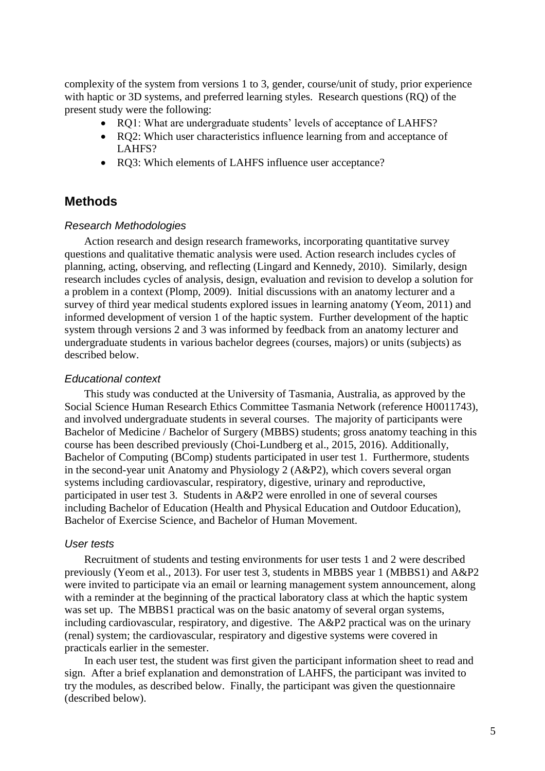complexity of the system from versions 1 to 3, gender, course/unit of study, prior experience with haptic or 3D systems, and preferred learning styles. Research questions (RQ) of the present study were the following:

- RQ1: What are undergraduate students' levels of acceptance of LAHFS?
- RO2: Which user characteristics influence learning from and acceptance of LAHFS?
- RQ3: Which elements of LAHFS influence user acceptance?

### **Methods**

#### *Research Methodologies*

Action research and design research frameworks, incorporating quantitative survey questions and qualitative thematic analysis were used. Action research includes cycles of planning, acting, observing, and reflecting (Lingard and Kennedy, 2010). Similarly, design research includes cycles of analysis, design, evaluation and revision to develop a solution for a problem in a context (Plomp, 2009). Initial discussions with an anatomy lecturer and a survey of third year medical students explored issues in learning anatomy (Yeom, 2011) and informed development of version 1 of the haptic system. Further development of the haptic system through versions 2 and 3 was informed by feedback from an anatomy lecturer and undergraduate students in various bachelor degrees (courses, majors) or units (subjects) as described below.

#### *Educational context*

This study was conducted at the University of Tasmania, Australia, as approved by the Social Science Human Research Ethics Committee Tasmania Network (reference H0011743), and involved undergraduate students in several courses. The majority of participants were Bachelor of Medicine / Bachelor of Surgery (MBBS) students; gross anatomy teaching in this course has been described previously (Choi-Lundberg et al., 2015, 2016). Additionally, Bachelor of Computing (BComp) students participated in user test 1. Furthermore, students in the second-year unit Anatomy and Physiology 2 (A&P2), which covers several organ systems including cardiovascular, respiratory, digestive, urinary and reproductive, participated in user test 3. Students in A&P2 were enrolled in one of several courses including Bachelor of Education (Health and Physical Education and Outdoor Education), Bachelor of Exercise Science, and Bachelor of Human Movement.

### *User tests*

Recruitment of students and testing environments for user tests 1 and 2 were described previously (Yeom et al., 2013). For user test 3, students in MBBS year 1 (MBBS1) and A&P2 were invited to participate via an email or learning management system announcement, along with a reminder at the beginning of the practical laboratory class at which the haptic system was set up. The MBBS1 practical was on the basic anatomy of several organ systems, including cardiovascular, respiratory, and digestive. The A&P2 practical was on the urinary (renal) system; the cardiovascular, respiratory and digestive systems were covered in practicals earlier in the semester.

In each user test, the student was first given the participant information sheet to read and sign. After a brief explanation and demonstration of LAHFS, the participant was invited to try the modules, as described below. Finally, the participant was given the questionnaire (described below).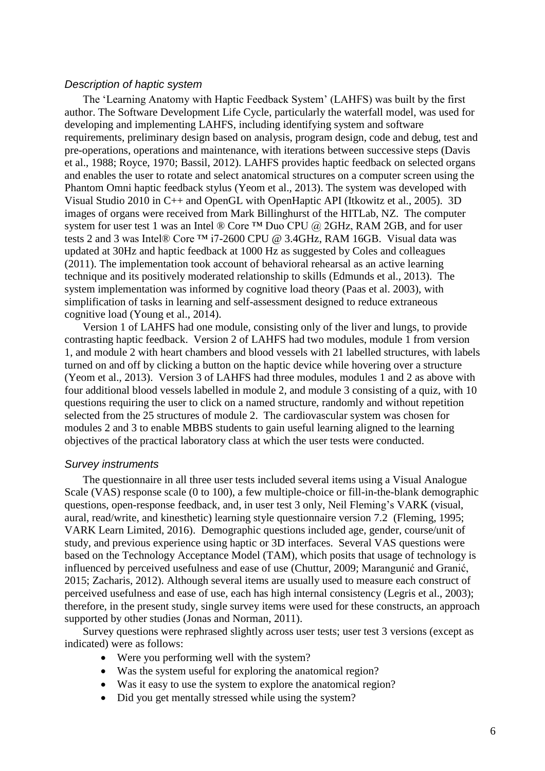#### *Description of haptic system*

The 'Learning Anatomy with Haptic Feedback System' (LAHFS) was built by the first author. The Software Development Life Cycle, particularly the waterfall model, was used for developing and implementing LAHFS, including identifying system and software requirements, preliminary design based on analysis, program design, code and debug, test and pre-operations, operations and maintenance, with iterations between successive steps (Davis et al., 1988; Royce, 1970; Bassil, 2012). LAHFS provides haptic feedback on selected organs and enables the user to rotate and select anatomical structures on a computer screen using the Phantom Omni haptic feedback stylus (Yeom et al., 2013). The system was developed with Visual Studio 2010 in C++ and OpenGL with OpenHaptic API (Itkowitz et al., 2005). 3D images of organs were received from Mark Billinghurst of the HITLab, NZ. The computer system for user test 1 was an Intel ® Core ™ Duo CPU @ 2GHz, RAM 2GB, and for user tests 2 and 3 was Intel® Core ™ i7-2600 CPU @ 3.4GHz, RAM 16GB. Visual data was updated at 30Hz and haptic feedback at 1000 Hz as suggested by Coles and colleagues (2011). The implementation took account of behavioral rehearsal as an active learning technique and its positively moderated relationship to skills (Edmunds et al., 2013). The system implementation was informed by cognitive load theory (Paas et al. 2003), with simplification of tasks in learning and self-assessment designed to reduce extraneous cognitive load (Young et al., 2014).

Version 1 of LAHFS had one module, consisting only of the liver and lungs, to provide contrasting haptic feedback. Version 2 of LAHFS had two modules, module 1 from version 1, and module 2 with heart chambers and blood vessels with 21 labelled structures, with labels turned on and off by clicking a button on the haptic device while hovering over a structure (Yeom et al., 2013). Version 3 of LAHFS had three modules, modules 1 and 2 as above with four additional blood vessels labelled in module 2, and module 3 consisting of a quiz, with 10 questions requiring the user to click on a named structure, randomly and without repetition selected from the 25 structures of module 2. The cardiovascular system was chosen for modules 2 and 3 to enable MBBS students to gain useful learning aligned to the learning objectives of the practical laboratory class at which the user tests were conducted.

#### *Survey instruments*

The questionnaire in all three user tests included several items using a Visual Analogue Scale (VAS) response scale (0 to 100), a few multiple-choice or fill-in-the-blank demographic questions, open-response feedback, and, in user test 3 only, Neil Fleming's VARK (visual, aural, read/write, and kinesthetic) learning style questionnaire version 7.2 (Fleming, 1995; VARK Learn Limited, 2016). Demographic questions included age, gender, course/unit of study, and previous experience using haptic or 3D interfaces. Several VAS questions were based on the Technology Acceptance Model (TAM), which posits that usage of technology is influenced by perceived usefulness and ease of use (Chuttur, 2009; Marangunić and Granić, 2015; Zacharis, 2012). Although several items are usually used to measure each construct of perceived usefulness and ease of use, each has high internal consistency (Legris et al., 2003); therefore, in the present study, single survey items were used for these constructs, an approach supported by other studies (Jonas and Norman, 2011).

Survey questions were rephrased slightly across user tests; user test 3 versions (except as indicated) were as follows:

- Were you performing well with the system?
- Was the system useful for exploring the anatomical region?
- Was it easy to use the system to explore the anatomical region?
- Did you get mentally stressed while using the system?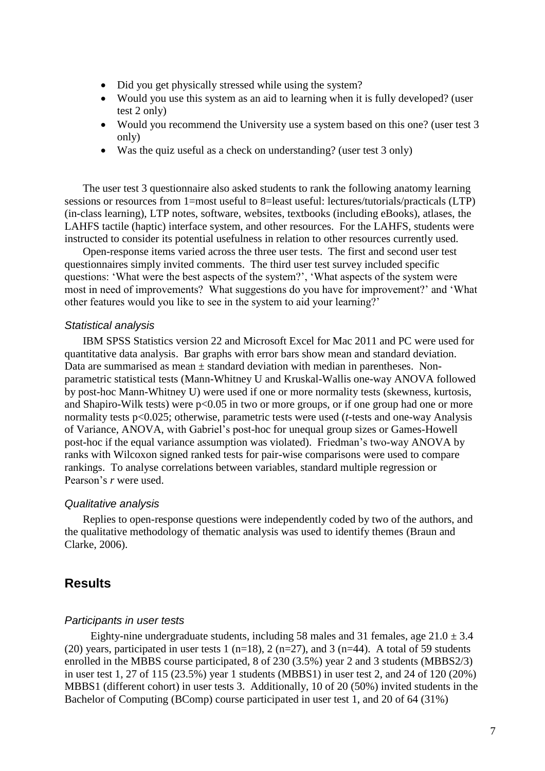- Did you get physically stressed while using the system?
- Would you use this system as an aid to learning when it is fully developed? (user test 2 only)
- Would you recommend the University use a system based on this one? (user test 3 only)
- Was the quiz useful as a check on understanding? (user test 3 only)

The user test 3 questionnaire also asked students to rank the following anatomy learning sessions or resources from 1=most useful to 8=least useful: lectures/tutorials/practicals (LTP) (in-class learning), LTP notes, software, websites, textbooks (including eBooks), atlases, the LAHFS tactile (haptic) interface system, and other resources. For the LAHFS, students were instructed to consider its potential usefulness in relation to other resources currently used.

Open-response items varied across the three user tests. The first and second user test questionnaires simply invited comments. The third user test survey included specific questions: 'What were the best aspects of the system?', 'What aspects of the system were most in need of improvements? What suggestions do you have for improvement?' and 'What other features would you like to see in the system to aid your learning?'

#### *Statistical analysis*

IBM SPSS Statistics version 22 and Microsoft Excel for Mac 2011 and PC were used for quantitative data analysis. Bar graphs with error bars show mean and standard deviation. Data are summarised as mean  $\pm$  standard deviation with median in parentheses. Nonparametric statistical tests (Mann-Whitney U and Kruskal-Wallis one-way ANOVA followed by post-hoc Mann-Whitney U) were used if one or more normality tests (skewness, kurtosis, and Shapiro-Wilk tests) were  $p<0.05$  in two or more groups, or if one group had one or more normality tests p<0.025; otherwise, parametric tests were used (*t*-tests and one-way Analysis of Variance, ANOVA, with Gabriel's post-hoc for unequal group sizes or Games-Howell post-hoc if the equal variance assumption was violated). Friedman's two-way ANOVA by ranks with Wilcoxon signed ranked tests for pair-wise comparisons were used to compare rankings. To analyse correlations between variables, standard multiple regression or Pearson's *r* were used.

#### *Qualitative analysis*

Replies to open-response questions were independently coded by two of the authors, and the qualitative methodology of thematic analysis was used to identify themes (Braun and Clarke, 2006).

### **Results**

#### *Participants in user tests*

Eighty-nine undergraduate students, including 58 males and 31 females, age  $21.0 \pm 3.4$ (20) years, participated in user tests 1 ( $n=18$ ), 2 ( $n=27$ ), and 3 ( $n=44$ ). A total of 59 students enrolled in the MBBS course participated, 8 of 230 (3.5%) year 2 and 3 students (MBBS2/3) in user test 1, 27 of 115 (23.5%) year 1 students (MBBS1) in user test 2, and 24 of 120 (20%) MBBS1 (different cohort) in user tests 3. Additionally, 10 of 20 (50%) invited students in the Bachelor of Computing (BComp) course participated in user test 1, and 20 of 64 (31%)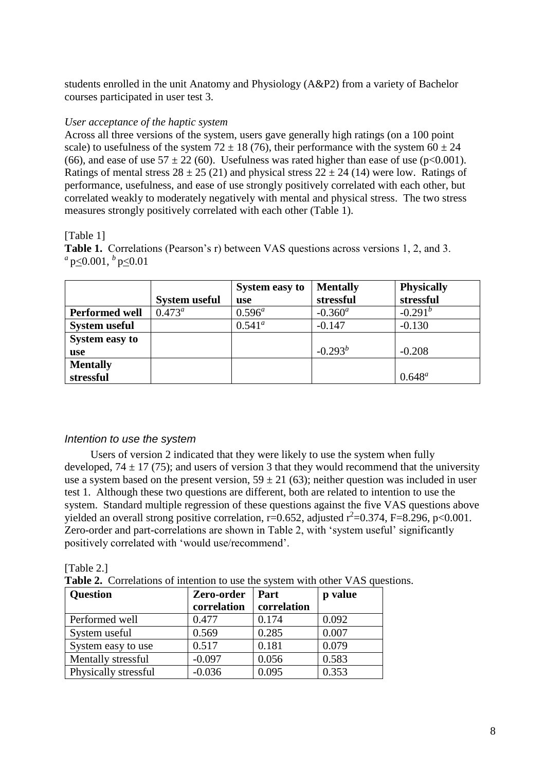students enrolled in the unit Anatomy and Physiology (A&P2) from a variety of Bachelor courses participated in user test 3.

### *User acceptance of the haptic system*

Across all three versions of the system, users gave generally high ratings (on a 100 point scale) to usefulness of the system  $72 \pm 18$  (76), their performance with the system  $60 \pm 24$ (66), and ease of use  $57 \pm 22$  (60). Usefulness was rated higher than ease of use (p<0.001). Ratings of mental stress  $28 \pm 25$  (21) and physical stress  $22 \pm 24$  (14) were low. Ratings of performance, usefulness, and ease of use strongly positively correlated with each other, but correlated weakly to moderately negatively with mental and physical stress. The two stress measures strongly positively correlated with each other (Table 1).

### [Table 1]

**Table 1.** Correlations (Pearson's r) between VAS questions across versions 1, 2, and 3. *a* p<0.001, *<sup>b</sup>* p<0.01

|                       |                      | <b>System easy to</b> | <b>Mentally</b> | <b>Physically</b> |
|-----------------------|----------------------|-----------------------|-----------------|-------------------|
|                       | <b>System useful</b> | use                   | stressful       | stressful         |
| <b>Performed well</b> | $0.473^a$            | $0.596^a$             | $-0.360^a$      | $-0.291^b$        |
| <b>System useful</b>  |                      | $0.541^a$             | $-0.147$        | $-0.130$          |
| System easy to        |                      |                       |                 |                   |
| use                   |                      |                       | $-0.293^b$      | $-0.208$          |
| <b>Mentally</b>       |                      |                       |                 |                   |
| stressful             |                      |                       |                 | $0.648^a$         |

### *Intention to use the system*

Users of version 2 indicated that they were likely to use the system when fully developed,  $74 \pm 17$  (75); and users of version 3 that they would recommend that the university use a system based on the present version,  $59 \pm 21$  (63); neither question was included in user test 1. Although these two questions are different, both are related to intention to use the system. Standard multiple regression of these questions against the five VAS questions above yielded an overall strong positive correlation,  $r=0.652$ , adjusted  $r^2=0.374$ ,  $F=8.296$ ,  $p<0.001$ . Zero-order and part-correlations are shown in Table 2, with 'system useful' significantly positively correlated with 'would use/recommend'.

[Table 2.]

**Table 2.** Correlations of intention to use the system with other VAS questions.

| <b>Question</b>      | Zero-order  | Part        | p value |
|----------------------|-------------|-------------|---------|
|                      | correlation | correlation |         |
| Performed well       | 0.477       | 0.174       | 0.092   |
| System useful        | 0.569       | 0.285       | 0.007   |
| System easy to use   | 0.517       | 0.181       | 0.079   |
| Mentally stressful   | $-0.097$    | 0.056       | 0.583   |
| Physically stressful | $-0.036$    | 0.095       | 0.353   |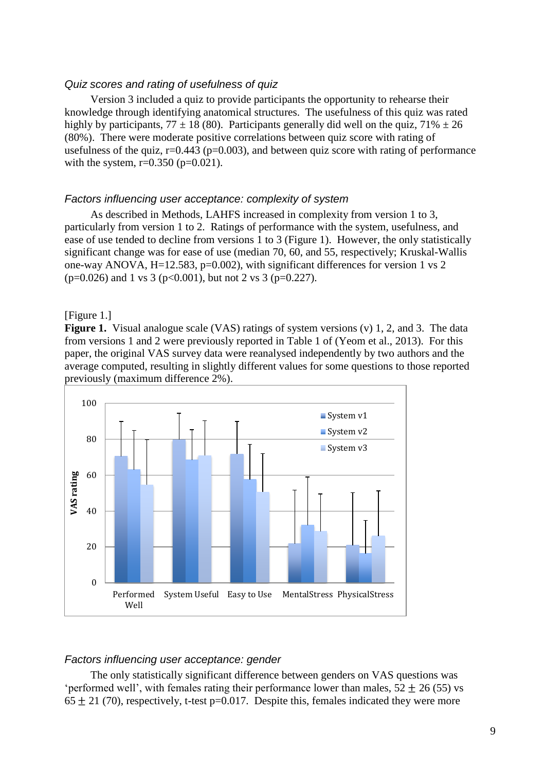#### *Quiz scores and rating of usefulness of quiz*

Version 3 included a quiz to provide participants the opportunity to rehearse their knowledge through identifying anatomical structures. The usefulness of this quiz was rated highly by participants,  $77 \pm 18$  (80). Participants generally did well on the quiz,  $71\% \pm 26$ (80%). There were moderate positive correlations between quiz score with rating of usefulness of the quiz,  $r=0.443$  ( $p=0.003$ ), and between quiz score with rating of performance with the system,  $r=0.350$  ( $p=0.021$ ).

#### *Factors influencing user acceptance: complexity of system*

As described in Methods, LAHFS increased in complexity from version 1 to 3, particularly from version 1 to 2. Ratings of performance with the system, usefulness, and ease of use tended to decline from versions 1 to 3 (Figure 1). However, the only statistically significant change was for ease of use (median 70, 60, and 55, respectively; Kruskal-Wallis one-way ANOVA, H=12.583, p=0.002), with significant differences for version 1 vs 2  $(p=0.026)$  and 1 vs 3 (p<0.001), but not 2 vs 3 (p=0.227).

#### [Figure 1.]

**Figure 1.** Visual analogue scale (VAS) ratings of system versions (v) 1, 2, and 3. The data from versions 1 and 2 were previously reported in Table 1 of (Yeom et al., 2013). For this paper, the original VAS survey data were reanalysed independently by two authors and the average computed, resulting in slightly different values for some questions to those reported previously (maximum difference 2%).



#### *Factors influencing user acceptance: gender*

The only statistically significant difference between genders on VAS questions was 'performed well', with females rating their performance lower than males,  $52 + 26 (55)$  vs  $65 \pm 21$  (70), respectively, t-test p=0.017. Despite this, females indicated they were more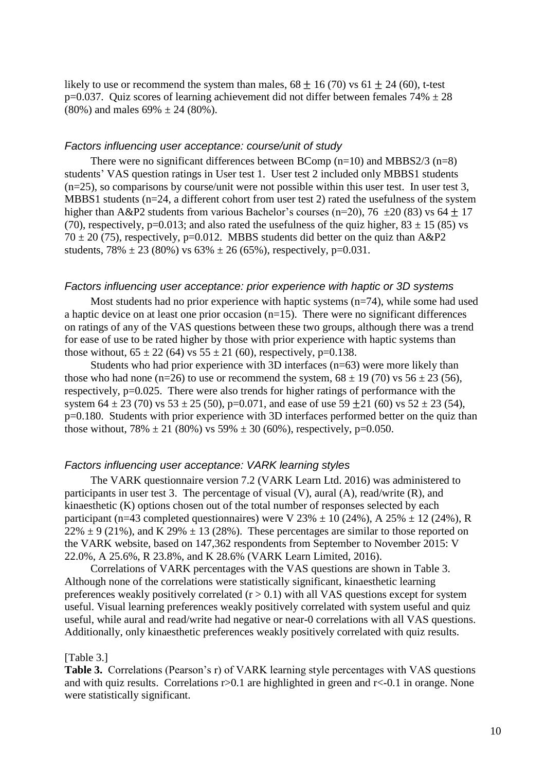likely to use or recommend the system than males,  $68 \pm 16$  (70) vs  $61 \pm 24$  (60), t-test p=0.037. Quiz scores of learning achievement did not differ between females  $74\% \pm 28$  $(80\%)$  and males  $69\% \pm 24$   $(80\%).$ 

#### *Factors influencing user acceptance: course/unit of study*

There were no significant differences between BComp  $(n=10)$  and MBBS2/3  $(n=8)$ students' VAS question ratings in User test 1. User test 2 included only MBBS1 students  $(n=25)$ , so comparisons by course/unit were not possible within this user test. In user test 3, MBBS1 students (n=24, a different cohort from user test 2) rated the usefulness of the system higher than A&P2 students from various Bachelor's courses (n=20), 76  $\pm$ 20 (83) vs 64  $\pm$  17 (70), respectively, p=0.013; and also rated the usefulness of the quiz higher,  $83 \pm 15$  (85) vs  $70 \pm 20$  (75), respectively, p=0.012. MBBS students did better on the quiz than A&P2 students,  $78\% \pm 23$  (80%) vs  $63\% \pm 26$  (65%), respectively, p=0.031.

#### *Factors influencing user acceptance: prior experience with haptic or 3D systems*

Most students had no prior experience with haptic systems (n=74), while some had used a haptic device on at least one prior occasion  $(n=15)$ . There were no significant differences on ratings of any of the VAS questions between these two groups, although there was a trend for ease of use to be rated higher by those with prior experience with haptic systems than those without,  $65 \pm 22$  (64) vs  $55 \pm 21$  (60), respectively, p=0.138.

Students who had prior experience with 3D interfaces (n=63) were more likely than those who had none (n=26) to use or recommend the system,  $68 \pm 19$  (70) vs  $56 \pm 23$  (56), respectively, p=0.025. There were also trends for higher ratings of performance with the system  $64 \pm 23$  (70) vs  $53 \pm 25$  (50), p=0.071, and ease of use  $59 \pm 21$  (60) vs  $52 \pm 23$  (54), p=0.180. Students with prior experience with 3D interfaces performed better on the quiz than those without, 78%  $\pm 21$  (80%) vs 59%  $\pm 30$  (60%), respectively, p=0.050.

#### *Factors influencing user acceptance: VARK learning styles*

The VARK questionnaire version 7.2 (VARK Learn Ltd. 2016) was administered to participants in user test 3. The percentage of visual (V), aural (A), read/write (R), and kinaesthetic (K) options chosen out of the total number of responses selected by each participant (n=43 completed questionnaires) were V 23%  $\pm$  10 (24%), A 25%  $\pm$  12 (24%), R  $22\% \pm 9$  (21%), and K 29%  $\pm 13$  (28%). These percentages are similar to those reported on the VARK website, based on 147,362 respondents from September to November 2015: V 22.0%, A 25.6%, R 23.8%, and K 28.6% (VARK Learn Limited, 2016).

Correlations of VARK percentages with the VAS questions are shown in Table 3. Although none of the correlations were statistically significant, kinaesthetic learning preferences weakly positively correlated  $(r > 0.1)$  with all VAS questions except for system useful. Visual learning preferences weakly positively correlated with system useful and quiz useful, while aural and read/write had negative or near-0 correlations with all VAS questions. Additionally, only kinaesthetic preferences weakly positively correlated with quiz results.

#### [Table 3.]

**Table 3.** Correlations (Pearson's r) of VARK learning style percentages with VAS questions and with quiz results. Correlations  $r > 0.1$  are highlighted in green and  $r < 0.1$  in orange. None were statistically significant.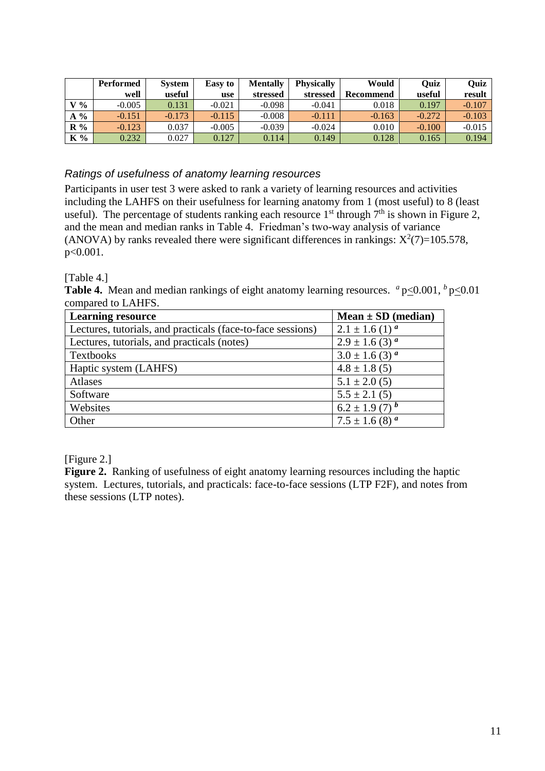|               | <b>Performed</b> | <b>System</b> | <b>Easy to</b> | <b>Mentally</b> | <b>Physically</b> | Would     | Ouiz     | Quiz     |
|---------------|------------------|---------------|----------------|-----------------|-------------------|-----------|----------|----------|
|               | well             | useful        | use            | stressed        | stressed          | Recommend | useful   | result   |
| $V\%$         | $-0.005$         | 0.131         | $-0.021$       | $-0.098$        | $-0.041$          | 0.018     | 0.197    | $-0.107$ |
| $\frac{6}{6}$ | $-0.151$         | $-0.173$      | $-0.115$       | $-0.008$        | $-0.111$          | $-0.163$  | $-0.272$ | $-0.103$ |
| $R\%$         | $-0.123$         | 0.037         | $-0.005$       | $-0.039$        | $-0.024$          | 0.010     | $-0.100$ | $-0.015$ |
| K %           | 0.232            | 0.027         | 0.127          | 0.114           | 0.149             | 0.128     | 0.165    | 0.194    |

### *Ratings of usefulness of anatomy learning resources*

Participants in user test 3 were asked to rank a variety of learning resources and activities including the LAHFS on their usefulness for learning anatomy from 1 (most useful) to 8 (least useful). The percentage of students ranking each resource  $1<sup>st</sup>$  through  $7<sup>th</sup>$  is shown in Figure 2, and the mean and median ranks in Table 4. Friedman's two-way analysis of variance (ANOVA) by ranks revealed there were significant differences in rankings:  $X^2(7)=105.578$ , p<0.001.

[Table 4.]

**Table 4.** Mean and median rankings of eight anatomy learning resources.  $a_{p\leq 0.001}$ ,  $b_{p\leq 0.01}$ compared to LAHFS.

| <b>Learning resource</b>                                    | $Mean \pm SD \ (median)$       |
|-------------------------------------------------------------|--------------------------------|
| Lectures, tutorials, and practicals (face-to-face sessions) | $2.1 \pm 1.6$ (1) <sup>a</sup> |
| Lectures, tutorials, and practicals (notes)                 | $2.9 \pm 1.6$ (3) <sup>a</sup> |
| Textbooks                                                   | $3.0 \pm 1.6$ (3) $^a$         |
| Haptic system (LAHFS)                                       | $4.8 \pm 1.8$ (5)              |
| Atlases                                                     | $5.1 \pm 2.0$ (5)              |
| Software                                                    | $5.5 \pm 2.1(5)$               |
| Websites                                                    | $6.2 \pm 1.9$ (7) $^{b}$       |
| Other                                                       | $7.5 \pm 1.6$ (8) $^a$         |

[Figure 2.]

**Figure 2.** Ranking of usefulness of eight anatomy learning resources including the haptic system. Lectures, tutorials, and practicals: face-to-face sessions (LTP F2F), and notes from these sessions (LTP notes).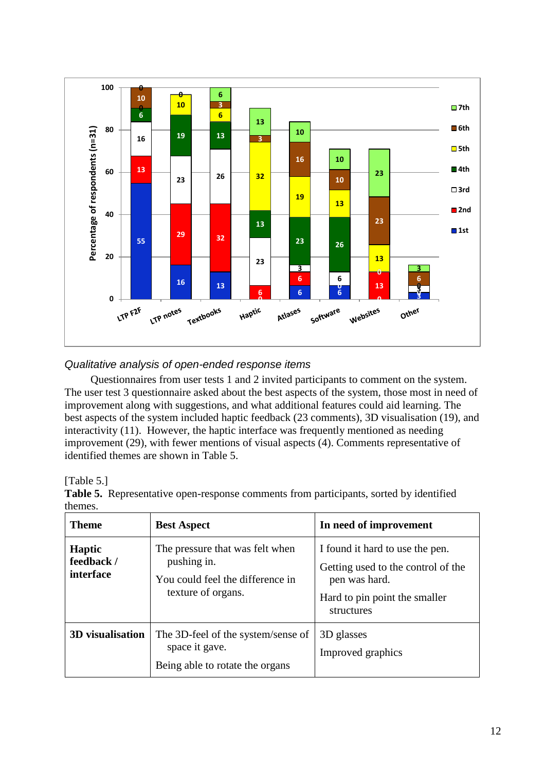

## *Qualitative analysis of open-ended response items*

Questionnaires from user tests 1 and 2 invited participants to comment on the system. The user test 3 questionnaire asked about the best aspects of the system, those most in need of improvement along with suggestions, and what additional features could aid learning. The best aspects of the system included haptic feedback (23 comments), 3D visualisation (19), and interactivity (11). However, the haptic interface was frequently mentioned as needing improvement (29), with fewer mentions of visual aspects (4). Comments representative of identified themes are shown in Table 5.

|         | Table 5. Representative open-response comments from participants, sorted by identified |  |
|---------|----------------------------------------------------------------------------------------|--|
| themes. |                                                                                        |  |

| <b>Theme</b>                                                                                                | <b>Best Aspect</b>                                                                                       | In need of improvement                                                                                                                |
|-------------------------------------------------------------------------------------------------------------|----------------------------------------------------------------------------------------------------------|---------------------------------------------------------------------------------------------------------------------------------------|
| <b>Haptic</b><br>feedback /<br>interface                                                                    | The pressure that was felt when<br>pushing in.<br>You could feel the difference in<br>texture of organs. | I found it hard to use the pen.<br>Getting used to the control of the<br>pen was hard.<br>Hard to pin point the smaller<br>structures |
| 3D visualisation<br>The 3D-feel of the system/sense of<br>space it gave.<br>Being able to rotate the organs |                                                                                                          | 3D glasses<br>Improved graphics                                                                                                       |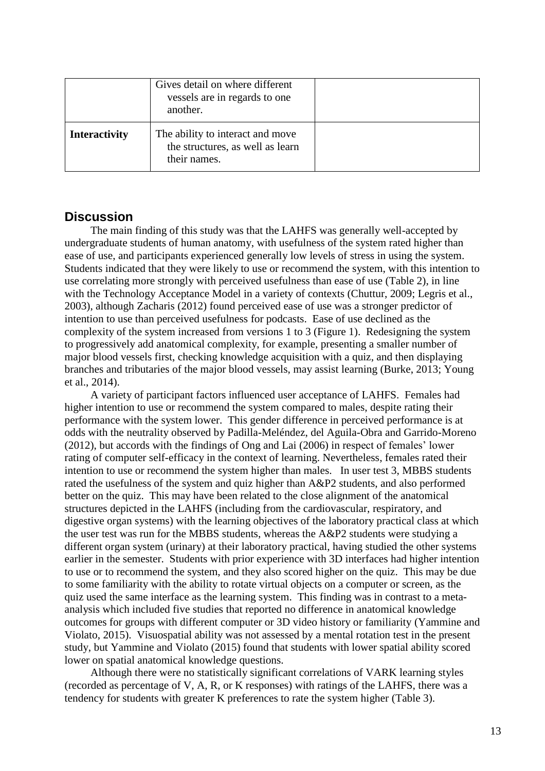|                      | Gives detail on where different<br>vessels are in regards to one<br>another.         |  |
|----------------------|--------------------------------------------------------------------------------------|--|
| <b>Interactivity</b> | The ability to interact and move<br>the structures, as well as learn<br>their names. |  |

### **Discussion**

The main finding of this study was that the LAHFS was generally well-accepted by undergraduate students of human anatomy, with usefulness of the system rated higher than ease of use, and participants experienced generally low levels of stress in using the system. Students indicated that they were likely to use or recommend the system, with this intention to use correlating more strongly with perceived usefulness than ease of use (Table 2), in line with the Technology Acceptance Model in a variety of contexts (Chuttur, 2009; Legris et al., 2003), although Zacharis (2012) found perceived ease of use was a stronger predictor of intention to use than perceived usefulness for podcasts. Ease of use declined as the complexity of the system increased from versions 1 to 3 (Figure 1). Redesigning the system to progressively add anatomical complexity, for example, presenting a smaller number of major blood vessels first, checking knowledge acquisition with a quiz, and then displaying branches and tributaries of the major blood vessels, may assist learning (Burke, 2013; Young et al., 2014).

A variety of participant factors influenced user acceptance of LAHFS. Females had higher intention to use or recommend the system compared to males, despite rating their performance with the system lower. This gender difference in perceived performance is at odds with the neutrality observed by Padilla-Meléndez, del Aguila-Obra and Garrido-Moreno (2012), but accords with the findings of Ong and Lai (2006) in respect of females' lower rating of computer self-efficacy in the context of learning. Nevertheless, females rated their intention to use or recommend the system higher than males. In user test 3, MBBS students rated the usefulness of the system and quiz higher than A&P2 students, and also performed better on the quiz. This may have been related to the close alignment of the anatomical structures depicted in the LAHFS (including from the cardiovascular, respiratory, and digestive organ systems) with the learning objectives of the laboratory practical class at which the user test was run for the MBBS students, whereas the A&P2 students were studying a different organ system (urinary) at their laboratory practical, having studied the other systems earlier in the semester. Students with prior experience with 3D interfaces had higher intention to use or to recommend the system, and they also scored higher on the quiz. This may be due to some familiarity with the ability to rotate virtual objects on a computer or screen, as the quiz used the same interface as the learning system. This finding was in contrast to a metaanalysis which included five studies that reported no difference in anatomical knowledge outcomes for groups with different computer or 3D video history or familiarity (Yammine and Violato, 2015). Visuospatial ability was not assessed by a mental rotation test in the present study, but Yammine and Violato (2015) found that students with lower spatial ability scored lower on spatial anatomical knowledge questions.

Although there were no statistically significant correlations of VARK learning styles (recorded as percentage of V, A, R, or K responses) with ratings of the LAHFS, there was a tendency for students with greater K preferences to rate the system higher (Table 3).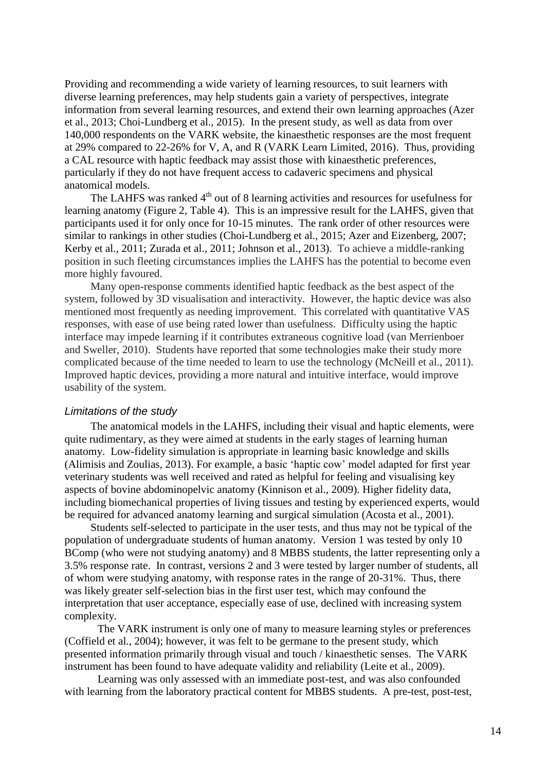Providing and recommending a wide variety of learning resources, to suit learners with diverse learning preferences, may help students gain a variety of perspectives, integrate information from several learning resources, and extend their own learning approaches (Azer et al., 2013; Choi-Lundberg et al., 2015). In the present study, as well as data from over 140,000 respondents on the VARK website, the kinaesthetic responses are the most frequent at 29% compared to 22-26% for V, A, and R (VARK Learn Limited, 2016). Thus, providing a CAL resource with haptic feedback may assist those with kinaesthetic preferences, particularly if they do not have frequent access to cadaveric specimens and physical anatomical models.

The LAHFS was ranked 4<sup>th</sup> out of 8 learning activities and resources for usefulness for learning anatomy (Figure 2, Table 4). This is an impressive result for the LAHFS, given that participants used it for only once for 10-15 minutes. The rank order of other resources were similar to rankings in other studies (Choi-Lundberg et al., 2015; Azer and Eizenberg, 2007; Kerby et al., 2011; Zurada et al., 2011; Johnson et al., 2013). To achieve a middle-ranking position in such fleeting circumstances implies the LAHFS has the potential to become even more highly favoured.

Many open-response comments identified haptic feedback as the best aspect of the system, followed by 3D visualisation and interactivity. However, the haptic device was also mentioned most frequently as needing improvement. This correlated with quantitative VAS responses, with ease of use being rated lower than usefulness. Difficulty using the haptic interface may impede learning if it contributes extraneous cognitive load (van Merrienboer and Sweller, 2010). Students have reported that some technologies make their study more complicated because of the time needed to learn to use the technology (McNeill et al., 2011). Improved haptic devices, providing a more natural and intuitive interface, would improve usability of the system.

#### *Limitations of the study*

The anatomical models in the LAHFS, including their visual and haptic elements, were quite rudimentary, as they were aimed at students in the early stages of learning human anatomy. Low-fidelity simulation is appropriate in learning basic knowledge and skills (Alimisis and Zoulias, 2013). For example, a basic 'haptic cow' model adapted for first year veterinary students was well received and rated as helpful for feeling and visualising key aspects of bovine abdominopelvic anatomy (Kinnison et al., 2009). Higher fidelity data, including biomechanical properties of living tissues and testing by experienced experts, would be required for advanced anatomy learning and surgical simulation (Acosta et al., 2001).

Students self-selected to participate in the user tests, and thus may not be typical of the population of undergraduate students of human anatomy. Version 1 was tested by only 10 BComp (who were not studying anatomy) and 8 MBBS students, the latter representing only a 3.5% response rate. In contrast, versions 2 and 3 were tested by larger number of students, all of whom were studying anatomy, with response rates in the range of 20-31%. Thus, there was likely greater self-selection bias in the first user test, which may confound the interpretation that user acceptance, especially ease of use, declined with increasing system complexity.

The VARK instrument is only one of many to measure learning styles or preferences (Coffield et al., 2004); however, it was felt to be germane to the present study, which presented information primarily through visual and touch / kinaesthetic senses. The VARK instrument has been found to have adequate validity and reliability (Leite et al., 2009).

Learning was only assessed with an immediate post-test, and was also confounded with learning from the laboratory practical content for MBBS students. A pre-test, post-test,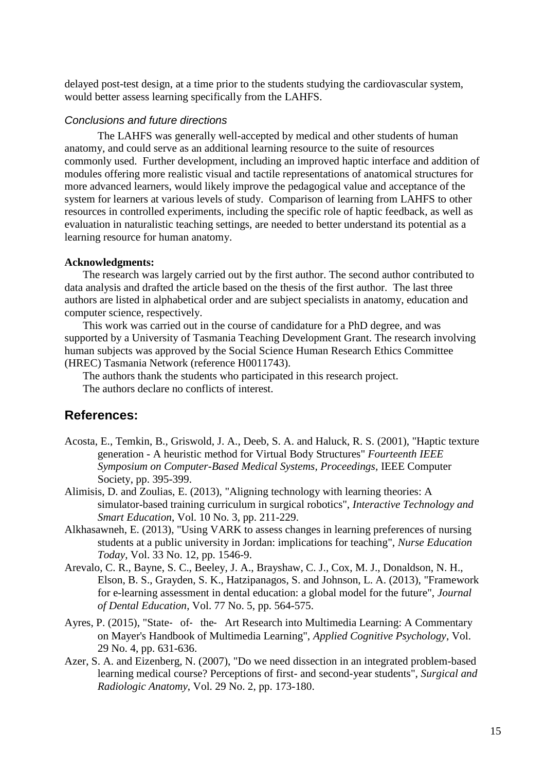delayed post-test design, at a time prior to the students studying the cardiovascular system, would better assess learning specifically from the LAHFS.

#### *Conclusions and future directions*

The LAHFS was generally well-accepted by medical and other students of human anatomy, and could serve as an additional learning resource to the suite of resources commonly used. Further development, including an improved haptic interface and addition of modules offering more realistic visual and tactile representations of anatomical structures for more advanced learners, would likely improve the pedagogical value and acceptance of the system for learners at various levels of study. Comparison of learning from LAHFS to other resources in controlled experiments, including the specific role of haptic feedback, as well as evaluation in naturalistic teaching settings, are needed to better understand its potential as a learning resource for human anatomy.

#### **Acknowledgments:**

The research was largely carried out by the first author. The second author contributed to data analysis and drafted the article based on the thesis of the first author. The last three authors are listed in alphabetical order and are subject specialists in anatomy, education and computer science, respectively.

This work was carried out in the course of candidature for a PhD degree, and was supported by a University of Tasmania Teaching Development Grant. The research involving human subjects was approved by the Social Science Human Research Ethics Committee (HREC) Tasmania Network (reference H0011743).

The authors thank the students who participated in this research project. The authors declare no conflicts of interest.

### **References:**

- Acosta, E., Temkin, B., Griswold, J. A., Deeb, S. A. and Haluck, R. S. (2001), "Haptic texture generation - A heuristic method for Virtual Body Structures" *Fourteenth IEEE Symposium on Computer-Based Medical Systems, Proceedings,* IEEE Computer Society, pp. 395-399.
- Alimisis, D. and Zoulias, E. (2013), "Aligning technology with learning theories: A simulator-based training curriculum in surgical robotics", *Interactive Technology and Smart Education*, Vol. 10 No. 3, pp. 211-229.
- Alkhasawneh, E. (2013), "Using VARK to assess changes in learning preferences of nursing students at a public university in Jordan: implications for teaching", *Nurse Education Today*, Vol. 33 No. 12, pp. 1546-9.
- Arevalo, C. R., Bayne, S. C., Beeley, J. A., Brayshaw, C. J., Cox, M. J., Donaldson, N. H., Elson, B. S., Grayden, S. K., Hatzipanagos, S. and Johnson, L. A. (2013), "Framework for e-learning assessment in dental education: a global model for the future", *Journal of Dental Education*, Vol. 77 No. 5, pp. 564-575.
- Ayres, P. (2015), "State‐ of‐ the‐ Art Research into Multimedia Learning: A Commentary on Mayer's Handbook of Multimedia Learning", *Applied Cognitive Psychology*, Vol. 29 No. 4, pp. 631-636.
- Azer, S. A. and Eizenberg, N. (2007), "Do we need dissection in an integrated problem-based learning medical course? Perceptions of first- and second-year students", *Surgical and Radiologic Anatomy*, Vol. 29 No. 2, pp. 173-180.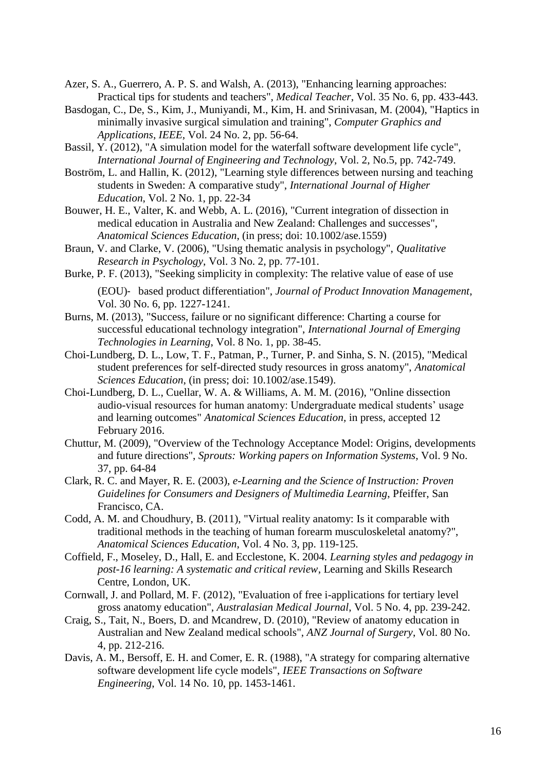- Azer, S. A., Guerrero, A. P. S. and Walsh, A. (2013), "Enhancing learning approaches: Practical tips for students and teachers", *Medical Teacher*, Vol. 35 No. 6, pp. 433-443.
- Basdogan, C., De, S., Kim, J., Muniyandi, M., Kim, H. and Srinivasan, M. (2004), "Haptics in minimally invasive surgical simulation and training", *Computer Graphics and Applications*, *IEEE*, Vol. 24 No. 2, pp. 56-64.
- Bassil, Y. (2012), "A simulation model for the waterfall software development life cycle", *International Journal of Engineering and Technology*, Vol. 2, No.5, pp. 742-749.
- Boström, L. and Hallin, K. (2012), "Learning style differences between nursing and teaching students in Sweden: A comparative study", *International Journal of Higher Education*, Vol. 2 No. 1, pp. 22-34
- Bouwer, H. E., Valter, K. and Webb, A. L. (2016), "Current integration of dissection in medical education in Australia and New Zealand: Challenges and successes", *Anatomical Sciences Education*, (in press; doi: 10.1002/ase.1559)
- Braun, V. and Clarke, V. (2006), "Using thematic analysis in psychology", *Qualitative Research in Psychology*, Vol. 3 No. 2, pp. 77-101.
- Burke, P. F. (2013), "Seeking simplicity in complexity: The relative value of ease of use (EOU)‐ based product differentiation", *Journal of Product Innovation Management*, Vol. 30 No. 6, pp. 1227-1241.
- Burns, M. (2013), "Success, failure or no significant difference: Charting a course for successful educational technology integration", *International Journal of Emerging Technologies in Learning*, Vol. 8 No. 1, pp. 38-45.
- Choi-Lundberg, D. L., Low, T. F., Patman, P., Turner, P. and Sinha, S. N. (2015), "Medical student preferences for self-directed study resources in gross anatomy", *Anatomical Sciences Education*, (in press; doi: 10.1002/ase.1549).
- Choi-Lundberg, D. L., Cuellar, W. A. & Williams, A. M. M. (2016), "Online dissection audio-visual resources for human anatomy: Undergraduate medical students' usage and learning outcomes" *Anatomical Sciences Education,* in press, accepted 12 February 2016.
- Chuttur, M. (2009), "Overview of the Technology Acceptance Model: Origins, developments and future directions", *Sprouts: Working papers on Information Systems*, Vol. 9 No. 37, pp. 64-84
- Clark, R. C. and Mayer, R. E. (2003), *e-Learning and the Science of Instruction: Proven Guidelines for Consumers and Designers of Multimedia Learning*, Pfeiffer, San Francisco, CA.
- Codd, A. M. and Choudhury, B. (2011), "Virtual reality anatomy: Is it comparable with traditional methods in the teaching of human forearm musculoskeletal anatomy?", *Anatomical Sciences Education*, Vol. 4 No. 3, pp. 119-125.
- Coffield, F., Moseley, D., Hall, E. and Ecclestone, K. 2004. *Learning styles and pedagogy in post-16 learning: A systematic and critical review*, Learning and Skills Research Centre, London, UK.
- Cornwall, J. and Pollard, M. F. (2012), "Evaluation of free i-applications for tertiary level gross anatomy education", *Australasian Medical Journal*, Vol. 5 No. 4, pp. 239-242.
- Craig, S., Tait, N., Boers, D. and Mcandrew, D. (2010), "Review of anatomy education in Australian and New Zealand medical schools", *ANZ Journal of Surgery*, Vol. 80 No. 4, pp. 212-216.
- Davis, A. M., Bersoff, E. H. and Comer, E. R. (1988), "A strategy for comparing alternative software development life cycle models", *IEEE Transactions on Software Engineering*, Vol. 14 No. 10, pp. 1453-1461.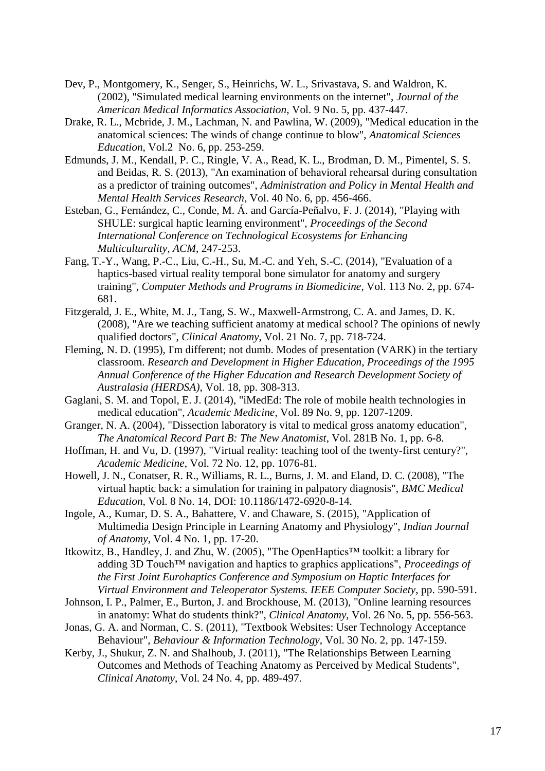- Dev, P., Montgomery, K., Senger, S., Heinrichs, W. L., Srivastava, S. and Waldron, K. (2002), "Simulated medical learning environments on the internet", *Journal of the American Medical Informatics Association*, Vol. 9 No. 5, pp. 437-447.
- Drake, R. L., Mcbride, J. M., Lachman, N. and Pawlina, W. (2009), "Medical education in the anatomical sciences: The winds of change continue to blow", *Anatomical Sciences Education*, Vol.2 No. 6, pp. 253-259.
- Edmunds, J. M., Kendall, P. C., Ringle, V. A., Read, K. L., Brodman, D. M., Pimentel, S. S. and Beidas, R. S. (2013), "An examination of behavioral rehearsal during consultation as a predictor of training outcomes", *Administration and Policy in Mental Health and Mental Health Services Research*, Vol. 40 No. 6, pp. 456-466.
- Esteban, G., Fernández, C., Conde, M. Á. and García-Peñalvo, F. J. (2014), "Playing with SHULE: surgical haptic learning environment", *Proceedings of the Second International Conference on Technological Ecosystems for Enhancing Multiculturality, ACM*, 247-253.
- Fang, T.-Y., Wang, P.-C., Liu, C.-H., Su, M.-C. and Yeh, S.-C. (2014), "Evaluation of a haptics-based virtual reality temporal bone simulator for anatomy and surgery training", *Computer Methods and Programs in Biomedicine*, Vol. 113 No. 2, pp. 674- 681.
- Fitzgerald, J. E., White, M. J., Tang, S. W., Maxwell-Armstrong, C. A. and James, D. K. (2008), "Are we teaching sufficient anatomy at medical school? The opinions of newly qualified doctors", *Clinical Anatomy*, Vol. 21 No. 7, pp. 718-724.
- Fleming, N. D. (1995), I'm different; not dumb. Modes of presentation (VARK) in the tertiary classroom. *Research and Development in Higher Education, Proceedings of the 1995 Annual Conference of the Higher Education and Research Development Society of Australasia (HERDSA)*, Vol. 18, pp. 308-313.
- Gaglani, S. M. and Topol, E. J. (2014), "iMedEd: The role of mobile health technologies in medical education", *Academic Medicine*, Vol. 89 No. 9, pp. 1207-1209.
- Granger, N. A. (2004), "Dissection laboratory is vital to medical gross anatomy education", *The Anatomical Record Part B: The New Anatomist*, Vol. 281B No. 1, pp. 6-8.
- Hoffman, H. and Vu, D. (1997), "Virtual reality: teaching tool of the twenty-first century?", *Academic Medicine*, Vol. 72 No. 12, pp. 1076-81.
- Howell, J. N., Conatser, R. R., Williams, R. L., Burns, J. M. and Eland, D. C. (2008), "The virtual haptic back: a simulation for training in palpatory diagnosis", *BMC Medical Education*, Vol. 8 No. 14, DOI: 10.1186/1472-6920-8-14.
- Ingole, A., Kumar, D. S. A., Bahattere, V. and Chaware, S. (2015), "Application of Multimedia Design Principle in Learning Anatomy and Physiology", *Indian Journal of Anatomy*, Vol. 4 No. 1, pp. 17-20.
- Itkowitz, B., Handley, J. and Zhu, W. (2005), "The OpenHaptics™ toolkit: a library for adding 3D Touch™ navigation and haptics to graphics applications", *Proceedings of the First Joint Eurohaptics Conference and Symposium on Haptic Interfaces for Virtual Environment and Teleoperator Systems. IEEE Computer Society*, pp. 590-591.
- Johnson, I. P., Palmer, E., Burton, J. and Brockhouse, M. (2013), "Online learning resources in anatomy: What do students think?", *Clinical Anatomy*, Vol. 26 No. 5, pp. 556-563.
- Jonas, G. A. and Norman, C. S. (2011), "Textbook Websites: User Technology Acceptance Behaviour", *Behaviour & Information Technology*, Vol. 30 No. 2, pp. 147-159.
- Kerby, J., Shukur, Z. N. and Shalhoub, J. (2011), "The Relationships Between Learning Outcomes and Methods of Teaching Anatomy as Perceived by Medical Students", *Clinical Anatomy*, Vol. 24 No. 4, pp. 489-497.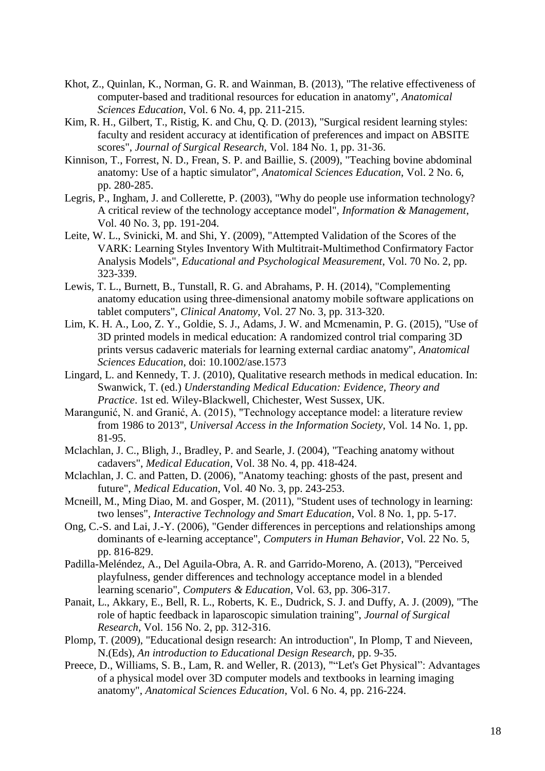- Khot, Z., Quinlan, K., Norman, G. R. and Wainman, B. (2013), "The relative effectiveness of computer-based and traditional resources for education in anatomy", *Anatomical Sciences Education*, Vol. 6 No. 4, pp. 211-215.
- Kim, R. H., Gilbert, T., Ristig, K. and Chu, Q. D. (2013), "Surgical resident learning styles: faculty and resident accuracy at identification of preferences and impact on ABSITE scores", *Journal of Surgical Research*, Vol. 184 No. 1, pp. 31-36.
- Kinnison, T., Forrest, N. D., Frean, S. P. and Baillie, S. (2009), "Teaching bovine abdominal anatomy: Use of a haptic simulator", *Anatomical Sciences Education*, Vol. 2 No. 6, pp. 280-285.
- Legris, P., Ingham, J. and Collerette, P. (2003), "Why do people use information technology? A critical review of the technology acceptance model", *Information & Management*, Vol. 40 No. 3, pp. 191-204.
- Leite, W. L., Svinicki, M. and Shi, Y. (2009), "Attempted Validation of the Scores of the VARK: Learning Styles Inventory With Multitrait-Multimethod Confirmatory Factor Analysis Models", *Educational and Psychological Measurement*, Vol. 70 No. 2, pp. 323-339.
- Lewis, T. L., Burnett, B., Tunstall, R. G. and Abrahams, P. H. (2014), "Complementing anatomy education using three-dimensional anatomy mobile software applications on tablet computers", *Clinical Anatomy*, Vol. 27 No. 3, pp. 313-320.
- Lim, K. H. A., Loo, Z. Y., Goldie, S. J., Adams, J. W. and Mcmenamin, P. G. (2015), "Use of 3D printed models in medical education: A randomized control trial comparing 3D prints versus cadaveric materials for learning external cardiac anatomy", *Anatomical Sciences Education*, doi: 10.1002/ase.1573
- Lingard, L. and Kennedy, T. J. (2010), Qualitative research methods in medical education. In: Swanwick, T. (ed.) *Understanding Medical Education: Evidence, Theory and Practice*. 1st ed. Wiley-Blackwell, Chichester, West Sussex, UK.
- Marangunić, N. and Granić, A. (2015), "Technology acceptance model: a literature review from 1986 to 2013", *Universal Access in the Information Society*, Vol. 14 No. 1, pp. 81-95.
- Mclachlan, J. C., Bligh, J., Bradley, P. and Searle, J. (2004), "Teaching anatomy without cadavers", *Medical Education*, Vol. 38 No. 4, pp. 418-424.
- Mclachlan, J. C. and Patten, D. (2006), "Anatomy teaching: ghosts of the past, present and future", *Medical Education*, Vol. 40 No. 3, pp. 243-253.
- Mcneill, M., Ming Diao, M. and Gosper, M. (2011), "Student uses of technology in learning: two lenses", *Interactive Technology and Smart Education*, Vol. 8 No. 1, pp. 5-17.
- Ong, C.-S. and Lai, J.-Y. (2006), "Gender differences in perceptions and relationships among dominants of e-learning acceptance", *Computers in Human Behavior*, Vol. 22 No. 5, pp. 816-829.
- Padilla-Meléndez, A., Del Aguila-Obra, A. R. and Garrido-Moreno, A. (2013), "Perceived playfulness, gender differences and technology acceptance model in a blended learning scenario", *Computers & Education*, Vol. 63, pp. 306-317.
- Panait, L., Akkary, E., Bell, R. L., Roberts, K. E., Dudrick, S. J. and Duffy, A. J. (2009), "The role of haptic feedback in laparoscopic simulation training", *Journal of Surgical Research*, Vol. 156 No. 2, pp. 312-316.
- Plomp, T. (2009), "Educational design research: An introduction", In Plomp, T and Nieveen, N.(Eds), *An introduction to Educational Design Research,* pp. 9-35.
- Preece, D., Williams, S. B., Lam, R. and Weller, R. (2013), ""Let's Get Physical": Advantages of a physical model over 3D computer models and textbooks in learning imaging anatomy", *Anatomical Sciences Education*, Vol. 6 No. 4, pp. 216-224.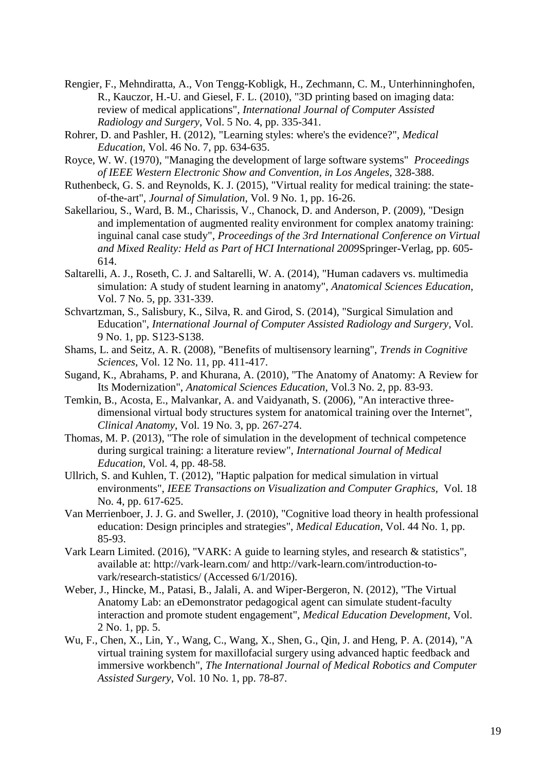- Rengier, F., Mehndiratta, A., Von Tengg-Kobligk, H., Zechmann, C. M., Unterhinninghofen, R., Kauczor, H.-U. and Giesel, F. L. (2010), "3D printing based on imaging data: review of medical applications", *International Journal of Computer Assisted Radiology and Surgery*, Vol. 5 No. 4, pp. 335-341.
- Rohrer, D. and Pashler, H. (2012), "Learning styles: where's the evidence?", *Medical Education*, Vol. 46 No. 7, pp. 634-635.
- Royce, W. W. (1970), "Managing the development of large software systems" *Proceedings of IEEE Western Electronic Show and Convention, in Los Angeles*, 328-388.
- Ruthenbeck, G. S. and Reynolds, K. J. (2015), "Virtual reality for medical training: the stateof-the-art", *Journal of Simulation*, Vol. 9 No. 1, pp. 16-26.
- Sakellariou, S., Ward, B. M., Charissis, V., Chanock, D. and Anderson, P. (2009), "Design and implementation of augmented reality environment for complex anatomy training: inguinal canal case study", *Proceedings of the 3rd International Conference on Virtual and Mixed Reality: Held as Part of HCI International 2009*Springer-Verlag, pp. 605- 614.
- Saltarelli, A. J., Roseth, C. J. and Saltarelli, W. A. (2014), "Human cadavers vs. multimedia simulation: A study of student learning in anatomy", *Anatomical Sciences Education*, Vol. 7 No. 5, pp. 331-339.
- Schvartzman, S., Salisbury, K., Silva, R. and Girod, S. (2014), "Surgical Simulation and Education", *International Journal of Computer Assisted Radiology and Surgery*, Vol. 9 No. 1, pp. S123-S138.
- Shams, L. and Seitz, A. R. (2008), "Benefits of multisensory learning", *Trends in Cognitive Sciences*, Vol. 12 No. 11, pp. 411-417.
- Sugand, K., Abrahams, P. and Khurana, A. (2010), "The Anatomy of Anatomy: A Review for Its Modernization", *Anatomical Sciences Education*, Vol.3 No. 2, pp. 83-93.
- Temkin, B., Acosta, E., Malvankar, A. and Vaidyanath, S. (2006), "An interactive threedimensional virtual body structures system for anatomical training over the Internet", *Clinical Anatomy*, Vol. 19 No. 3, pp. 267-274.
- Thomas, M. P. (2013), "The role of simulation in the development of technical competence during surgical training: a literature review", *International Journal of Medical Education*, Vol. 4, pp. 48-58.
- Ullrich, S. and Kuhlen, T. (2012), "Haptic palpation for medical simulation in virtual environments", *IEEE Transactions on Visualization and Computer Graphics,* Vol. 18 No. 4, pp. 617-625.
- Van Merrienboer, J. J. G. and Sweller, J. (2010), "Cognitive load theory in health professional education: Design principles and strategies", *Medical Education*, Vol. 44 No. 1, pp. 85-93.
- Vark Learn Limited. (2016), "VARK: A guide to learning styles, and research & statistics", available at: http://vark-learn.com/ and http://vark-learn.com/introduction-tovark/research-statistics/ (Accessed 6/1/2016).
- Weber, J., Hincke, M., Patasi, B., Jalali, A. and Wiper-Bergeron, N. (2012), "The Virtual Anatomy Lab: an eDemonstrator pedagogical agent can simulate student-faculty interaction and promote student engagement", *Medical Education Development*, Vol. 2 No. 1, pp. 5.
- Wu, F., Chen, X., Lin, Y., Wang, C., Wang, X., Shen, G., Qin, J. and Heng, P. A. (2014), "A virtual training system for maxillofacial surgery using advanced haptic feedback and immersive workbench", *The International Journal of Medical Robotics and Computer Assisted Surgery*, Vol. 10 No. 1, pp. 78-87.